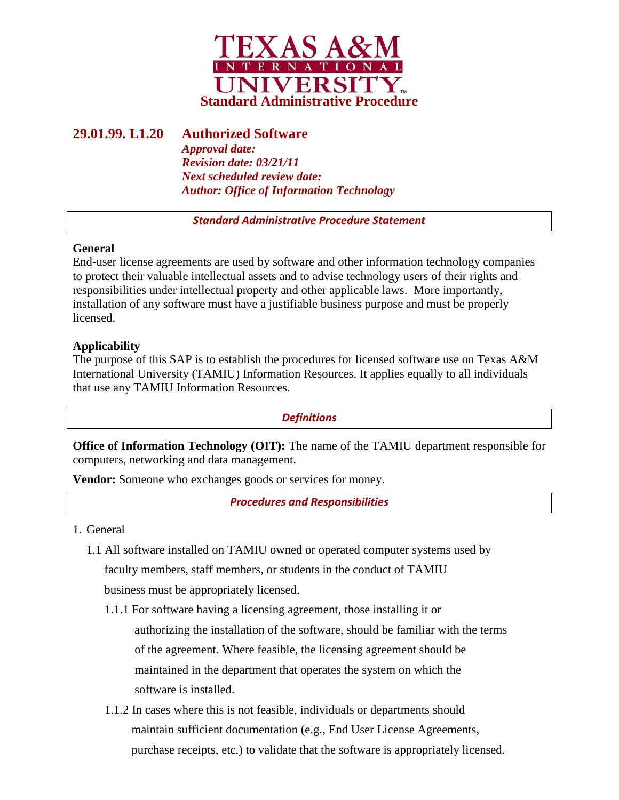

# **29.01.99. L1.20 Authorized Software**

*Approval date: Revision date: 03/21/11 Next scheduled review date: Author: Office of Information Technology*

*Standard Administrative Procedure Statement*

## **General**

End-user license agreements are used by software and other information technology companies to protect their valuable intellectual assets and to advise technology users of their rights and responsibilities under intellectual property and other applicable laws. More importantly, installation of any software must have a justifiable business purpose and must be properly licensed.

## **Applicability**

The purpose of this SAP is to establish the procedures for licensed software use on Texas A&M International University (TAMIU) Information Resources. It applies equally to all individuals that use any TAMIU Information Resources.

*Definitions*

**Office of Information Technology (OIT):** The name of the TAMIU department responsible for computers, networking and data management.

**Vendor:** Someone who exchanges goods or services for money.

*Procedures and Responsibilities*

- 1. General
	- 1.1 All software installed on TAMIU owned or operated computer systems used by faculty members, staff members, or students in the conduct of TAMIU business must be appropriately licensed.
		- 1.1.1 For software having a licensing agreement, those installing it or authorizing the installation of the software, should be familiar with the terms of the agreement. Where feasible, the licensing agreement should be maintained in the department that operates the system on which the software is installed.
		- 1.1.2 In cases where this is not feasible, individuals or departments should maintain sufficient documentation (e.g., End User License Agreements, purchase receipts, etc.) to validate that the software is appropriately licensed.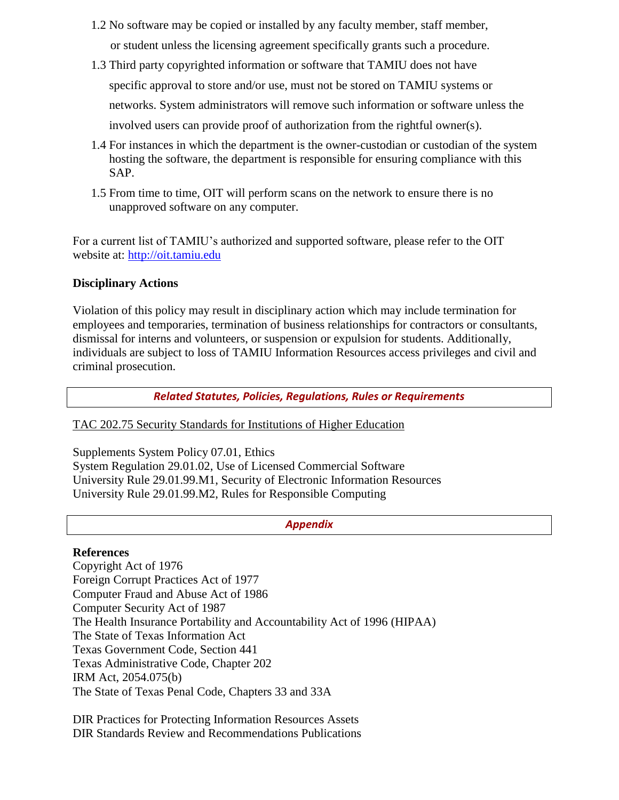- 1.2 No software may be copied or installed by any faculty member, staff member, or student unless the licensing agreement specifically grants such a procedure.
- 1.3 Third party copyrighted information or software that TAMIU does not have specific approval to store and/or use, must not be stored on TAMIU systems or networks. System administrators will remove such information or software unless the involved users can provide proof of authorization from the rightful owner(s).
- 1.4 For instances in which the department is the owner-custodian or custodian of the system hosting the software, the department is responsible for ensuring compliance with this SAP.
- 1.5 From time to time, OIT will perform scans on the network to ensure there is no unapproved software on any computer.

For a current list of TAMIU's authorized and supported software, please refer to the OIT website at: [http://oit.tamiu.edu](http://oit.tamiu.edu/)

## **Disciplinary Actions**

Violation of this policy may result in disciplinary action which may include termination for employees and temporaries, termination of business relationships for contractors or consultants, dismissal for interns and volunteers, or suspension or expulsion for students. Additionally, individuals are subject to loss of TAMIU Information Resources access privileges and civil and criminal prosecution.

*Related Statutes, Policies, Regulations, Rules or Requirements*

## [TAC 202.75 Security Standards for Institutions of Higher Education](http://info.sos.state.tx.us/pls/pub/readtac$ext.TacPage?sl=R&app=9&p_dir=&p_rloc=&p_tloc=&p_ploc=&pg=1&p_tac=&ti=1&pt=10&ch=202&rl=75)

Supplements System Policy 07.01, Ethics System Regulation 29.01.02, Use of Licensed Commercial Software University Rule 29.01.99.M1, Security of Electronic Information Resources University Rule 29.01.99.M2, Rules for Responsible Computing

#### *Appendix*

#### **References**

Copyright Act of 1976 Foreign Corrupt Practices Act of 1977 Computer Fraud and Abuse Act of 1986 Computer Security Act of 1987 The Health Insurance Portability and Accountability Act of 1996 (HIPAA) The State of Texas Information Act Texas Government Code, Section 441 Texas Administrative Code, Chapter 202 IRM Act, 2054.075(b) The State of Texas Penal Code, Chapters 33 and 33A

DIR Practices for Protecting Information Resources Assets DIR Standards Review and Recommendations Publications